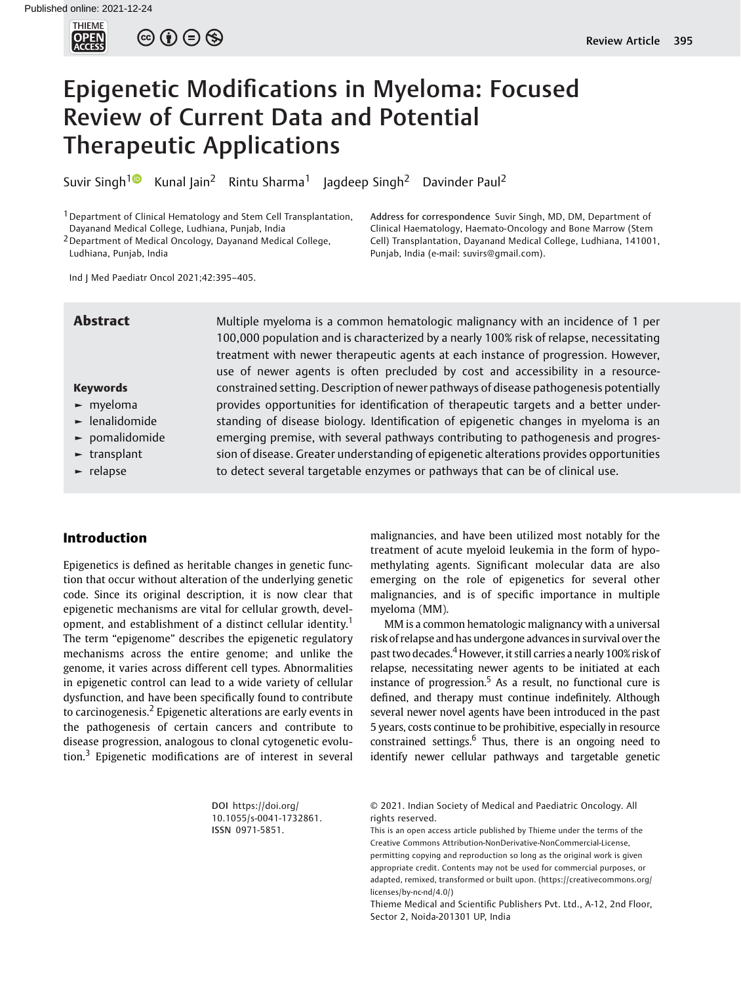

 $\circledcirc \circledcirc \circledcirc$ 

# Epigenetic Modifications in Myeloma: Focused Review of Current Data and Potential Therapeutic Applications

Suvir Singh<sup>[1](https://orcid.org/0000-0003-2067-8567)</sup> Kunal Jain<sup>2</sup> Rintu Sharma<sup>1</sup> Jagdeep Singh<sup>2</sup> Davinder Paul<sup>2</sup>

<sup>1</sup> Department of Clinical Hematology and Stem Cell Transplantation, Dayanand Medical College, Ludhiana, Punjab, India

<sup>2</sup> Department of Medical Oncology, Dayanand Medical College, Ludhiana, Punjab, India

Address for correspondence Suvir Singh, MD, DM, Department of Clinical Haematology, Haemato-Oncology and Bone Marrow (Stem Cell) Transplantation, Dayanand Medical College, Ludhiana, 141001, Punjab, India (e-mail: [suvirs@gmail.com](mailto:suvirs@gmail.com)).

Ind J Med Paediatr Oncol 2021;42:395–405.

# Keywords

- ► myeloma
- ► lenalidomide
- ► pomalidomide
- ► transplant
- ► relapse

Abstract Multiple myeloma is a common hematologic malignancy with an incidence of 1 per 100,000 population and is characterized by a nearly 100% risk of relapse, necessitating treatment with newer therapeutic agents at each instance of progression. However, use of newer agents is often precluded by cost and accessibility in a resourceconstrained setting. Description of newer pathways of disease pathogenesis potentially provides opportunities for identification of therapeutic targets and a better understanding of disease biology. Identification of epigenetic changes in myeloma is an emerging premise, with several pathways contributing to pathogenesis and progression of disease. Greater understanding of epigenetic alterations provides opportunities to detect several targetable enzymes or pathways that can be of clinical use.

# Introduction

Epigenetics is defined as heritable changes in genetic function that occur without alteration of the underlying genetic code. Since its original description, it is now clear that epigenetic mechanisms are vital for cellular growth, development, and establishment of a distinct cellular identity.<sup>1</sup> The term "epigenome" describes the epigenetic regulatory mechanisms across the entire genome; and unlike the genome, it varies across different cell types. Abnormalities in epigenetic control can lead to a wide variety of cellular dysfunction, and have been specifically found to contribute to carcinogenesis.<sup>2</sup> Epigenetic alterations are early events in the pathogenesis of certain cancers and contribute to disease progression, analogous to clonal cytogenetic evolution.<sup>3</sup> Epigenetic modifications are of interest in several

> DOI [https://doi.org/](https://doi.org/10.1055/s-0041-1732861) [10.1055/s-0041-1732861](https://doi.org/10.1055/s-0041-1732861). ISSN 0971-5851.

malignancies, and have been utilized most notably for the treatment of acute myeloid leukemia in the form of hypomethylating agents. Significant molecular data are also emerging on the role of epigenetics for several other malignancies, and is of specific importance in multiple myeloma (MM).

MM is a common hematologic malignancy with a universal risk of relapse and has undergone advances in survival over the past two decades.<sup>4</sup> However, it still carries a nearly 100% risk of relapse, necessitating newer agents to be initiated at each instance of progression.<sup>5</sup> As a result, no functional cure is defined, and therapy must continue indefinitely. Although several newer novel agents have been introduced in the past 5 years, costs continue to be prohibitive, especially in resource constrained settings.<sup>6</sup> Thus, there is an ongoing need to identify newer cellular pathways and targetable genetic

© 2021. Indian Society of Medical and Paediatric Oncology. All rights reserved.

This is an open access article published by Thieme under the terms of the Creative Commons Attribution-NonDerivative-NonCommercial-License, permitting copying and reproduction so long as the original work is given appropriate credit. Contents may not be used for commercial purposes, or adapted, remixed, transformed or built upon. (https://creativecommons.org/ licenses/by-nc-nd/4.0/)

Thieme Medical and Scientific Publishers Pvt. Ltd., A-12, 2nd Floor, Sector 2, Noida-201301 UP, India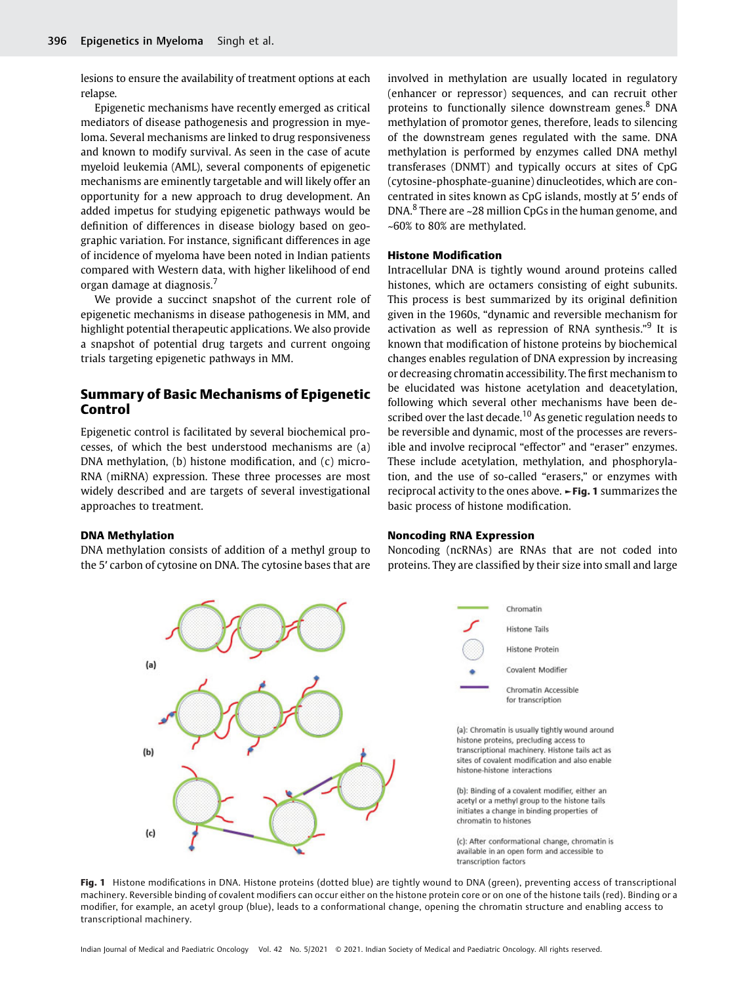lesions to ensure the availability of treatment options at each relapse.

Epigenetic mechanisms have recently emerged as critical mediators of disease pathogenesis and progression in myeloma. Several mechanisms are linked to drug responsiveness and known to modify survival. As seen in the case of acute myeloid leukemia (AML), several components of epigenetic mechanisms are eminently targetable and will likely offer an opportunity for a new approach to drug development. An added impetus for studying epigenetic pathways would be definition of differences in disease biology based on geographic variation. For instance, significant differences in age of incidence of myeloma have been noted in Indian patients compared with Western data, with higher likelihood of end organ damage at diagnosis.<sup>7</sup>

We provide a succinct snapshot of the current role of epigenetic mechanisms in disease pathogenesis in MM, and highlight potential therapeutic applications. We also provide a snapshot of potential drug targets and current ongoing trials targeting epigenetic pathways in MM.

# Summary of Basic Mechanisms of Epigenetic Control

Epigenetic control is facilitated by several biochemical processes, of which the best understood mechanisms are (a) DNA methylation, (b) histone modification, and (c) micro-RNA (miRNA) expression. These three processes are most widely described and are targets of several investigational approaches to treatment.

### DNA Methylation

DNA methylation consists of addition of a methyl group to the 5′ carbon of cytosine on DNA. The cytosine bases that are involved in methylation are usually located in regulatory (enhancer or repressor) sequences, and can recruit other proteins to functionally silence downstream genes.<sup>8</sup> DNA methylation of promotor genes, therefore, leads to silencing of the downstream genes regulated with the same. DNA methylation is performed by enzymes called DNA methyl transferases (DNMT) and typically occurs at sites of CpG (cytosine-phosphate-guanine) dinucleotides, which are concentrated in sites known as CpG islands, mostly at 5′ ends of DNA. $8$  There are ~28 million CpGs in the human genome, and ~60% to 80% are methylated.

#### Histone Modification

Intracellular DNA is tightly wound around proteins called histones, which are octamers consisting of eight subunits. This process is best summarized by its original definition given in the 1960s, "dynamic and reversible mechanism for activation as well as repression of RNA synthesis."<sup>9</sup> It is known that modification of histone proteins by biochemical changes enables regulation of DNA expression by increasing or decreasing chromatin accessibility. The first mechanism to be elucidated was histone acetylation and deacetylation, following which several other mechanisms have been described over the last decade.<sup>10</sup> As genetic regulation needs to be reversible and dynamic, most of the processes are reversible and involve reciprocal "effector" and "eraser" enzymes. These include acetylation, methylation, and phosphorylation, and the use of so-called "erasers," or enzymes with reciprocal activity to the ones above. ►Fig. 1 summarizes the basic process of histone modification.

### Noncoding RNA Expression

Noncoding (ncRNAs) are RNAs that are not coded into proteins. They are classified by their size into small and large



Fig. 1 Histone modifications in DNA. Histone proteins (dotted blue) are tightly wound to DNA (green), preventing access of transcriptional machinery. Reversible binding of covalent modifiers can occur either on the histone protein core or on one of the histone tails (red). Binding or a modifier, for example, an acetyl group (blue), leads to a conformational change, opening the chromatin structure and enabling access to transcriptional machinery.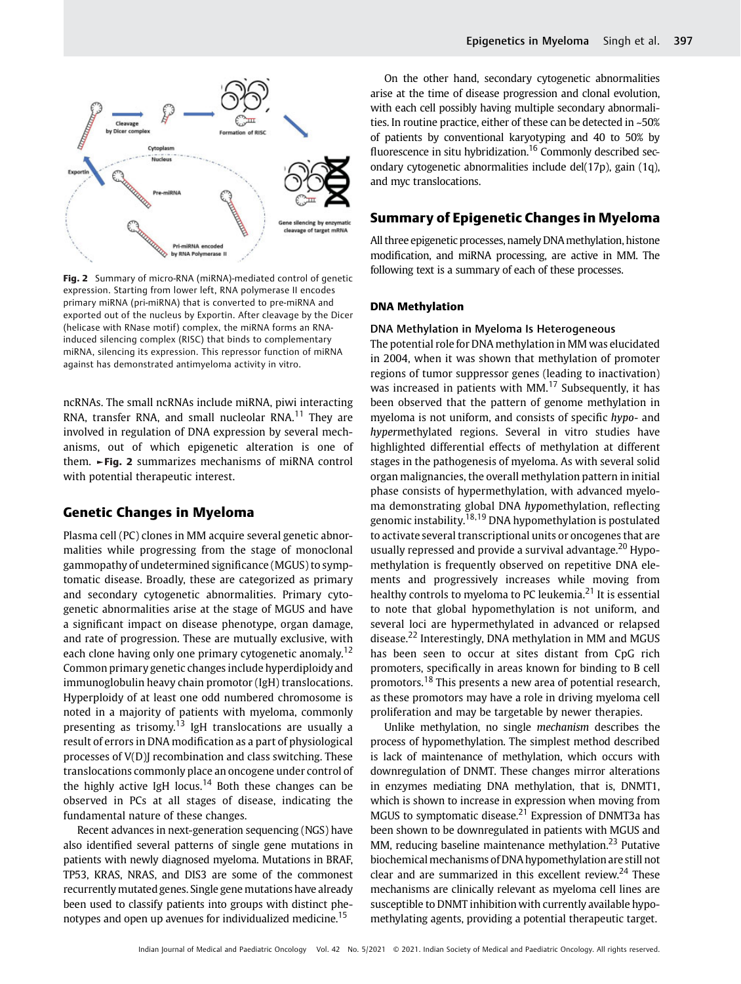

Fig. 2 Summary of micro-RNA (miRNA)-mediated control of genetic expression. Starting from lower left, RNA polymerase II encodes primary miRNA (pri-miRNA) that is converted to pre-miRNA and exported out of the nucleus by Exportin. After cleavage by the Dicer (helicase with RNase motif) complex, the miRNA forms an RNAinduced silencing complex (RISC) that binds to complementary miRNA, silencing its expression. This repressor function of miRNA against has demonstrated antimyeloma activity in vitro.

ncRNAs. The small ncRNAs include miRNA, piwi interacting RNA, transfer RNA, and small nucleolar RNA.<sup>11</sup> They are involved in regulation of DNA expression by several mechanisms, out of which epigenetic alteration is one of them. ►Fig. 2 summarizes mechanisms of miRNA control with potential therapeutic interest.

# Genetic Changes in Myeloma

Plasma cell (PC) clones in MM acquire several genetic abnormalities while progressing from the stage of monoclonal gammopathy of undetermined significance (MGUS) to symptomatic disease. Broadly, these are categorized as primary and secondary cytogenetic abnormalities. Primary cytogenetic abnormalities arise at the stage of MGUS and have a significant impact on disease phenotype, organ damage, and rate of progression. These are mutually exclusive, with each clone having only one primary cytogenetic anomaly.<sup>12</sup> Common primary genetic changes include hyperdiploidy and immunoglobulin heavy chain promotor (IgH) translocations. Hyperploidy of at least one odd numbered chromosome is noted in a majority of patients with myeloma, commonly presenting as trisomy.<sup>13</sup> IgH translocations are usually a result of errors in DNA modification as a part of physiological processes of V(D)J recombination and class switching. These translocations commonly place an oncogene under control of the highly active IgH locus.<sup>14</sup> Both these changes can be observed in PCs at all stages of disease, indicating the fundamental nature of these changes.

Recent advances in next-generation sequencing (NGS) have also identified several patterns of single gene mutations in patients with newly diagnosed myeloma. Mutations in BRAF, TP53, KRAS, NRAS, and DIS3 are some of the commonest recurrently mutated genes. Single gene mutations have already been used to classify patients into groups with distinct phenotypes and open up avenues for individualized medicine.<sup>15</sup>

On the other hand, secondary cytogenetic abnormalities arise at the time of disease progression and clonal evolution, with each cell possibly having multiple secondary abnormalities. In routine practice, either of these can be detected in ~50% of patients by conventional karyotyping and 40 to 50% by fluorescence in situ hybridization.<sup>16</sup> Commonly described secondary cytogenetic abnormalities include del(17p), gain (1q), and myc translocations.

# Summary of Epigenetic Changes in Myeloma

All three epigenetic processes, namely DNAmethylation, histone modification, and miRNA processing, are active in MM. The following text is a summary of each of these processes.

#### DNA Methylation

#### DNA Methylation in Myeloma Is Heterogeneous

The potential role for DNA methylation in MM was elucidated in 2004, when it was shown that methylation of promoter regions of tumor suppressor genes (leading to inactivation) was increased in patients with MM. $<sup>17</sup>$  Subsequently, it has</sup> been observed that the pattern of genome methylation in myeloma is not uniform, and consists of specific hypo- and hypermethylated regions. Several in vitro studies have highlighted differential effects of methylation at different stages in the pathogenesis of myeloma. As with several solid organ malignancies, the overall methylation pattern in initial phase consists of hypermethylation, with advanced myeloma demonstrating global DNA hypomethylation, reflecting genomic instability.18,19 DNA hypomethylation is postulated to activate several transcriptional units or oncogenes that are usually repressed and provide a survival advantage.<sup>20</sup> Hypomethylation is frequently observed on repetitive DNA elements and progressively increases while moving from healthy controls to myeloma to PC leukemia.<sup>21</sup> It is essential to note that global hypomethylation is not uniform, and several loci are hypermethylated in advanced or relapsed disease.<sup>22</sup> Interestingly, DNA methylation in MM and MGUS has been seen to occur at sites distant from CpG rich promoters, specifically in areas known for binding to B cell promotors.<sup>18</sup> This presents a new area of potential research, as these promotors may have a role in driving myeloma cell proliferation and may be targetable by newer therapies.

Unlike methylation, no single mechanism describes the process of hypomethylation. The simplest method described is lack of maintenance of methylation, which occurs with downregulation of DNMT. These changes mirror alterations in enzymes mediating DNA methylation, that is, DNMT1, which is shown to increase in expression when moving from MGUS to symptomatic disease.<sup>21</sup> Expression of DNMT3a has been shown to be downregulated in patients with MGUS and MM, reducing baseline maintenance methylation.<sup>23</sup> Putative biochemical mechanisms of DNA hypomethylation are still not clear and are summarized in this excellent review.<sup>24</sup> These mechanisms are clinically relevant as myeloma cell lines are susceptible to DNMT inhibition with currently available hypomethylating agents, providing a potential therapeutic target.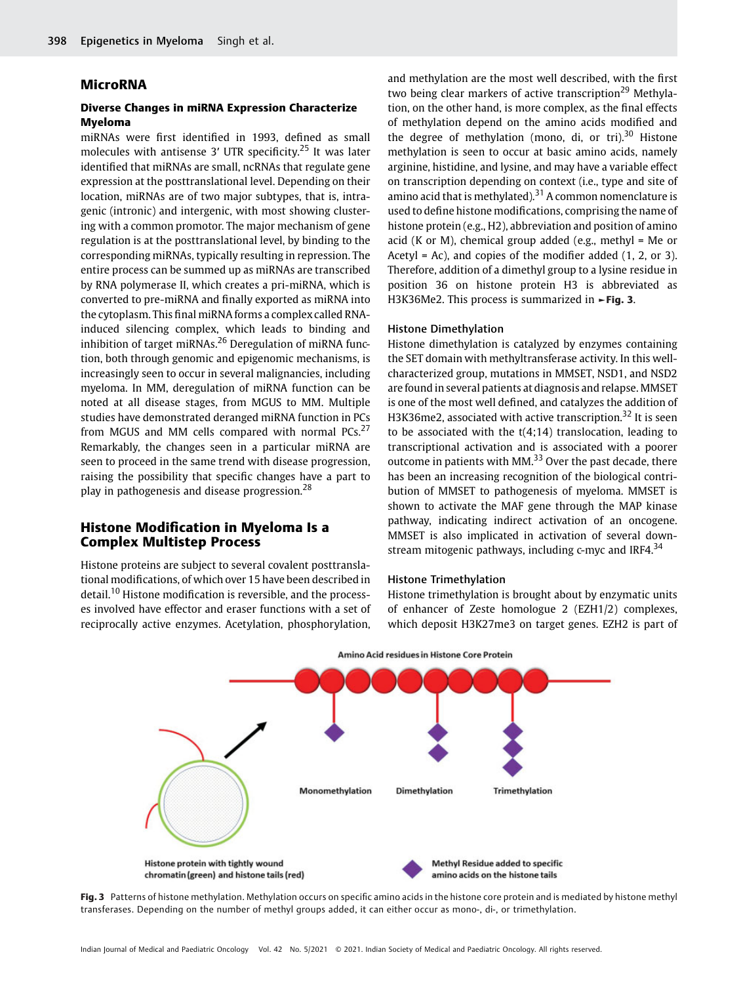### MicroRNA

# Diverse Changes in miRNA Expression Characterize Myeloma

miRNAs were first identified in 1993, defined as small molecules with antisense 3' UTR specificity.<sup>25</sup> It was later identified that miRNAs are small, ncRNAs that regulate gene expression at the posttranslational level. Depending on their location, miRNAs are of two major subtypes, that is, intragenic (intronic) and intergenic, with most showing clustering with a common promotor. The major mechanism of gene regulation is at the posttranslational level, by binding to the corresponding miRNAs, typically resulting in repression. The entire process can be summed up as miRNAs are transcribed by RNA polymerase II, which creates a pri-miRNA, which is converted to pre-miRNA and finally exported as miRNA into the cytoplasm. This final miRNA forms a complex called RNAinduced silencing complex, which leads to binding and inhibition of target miRNAs.<sup>26</sup> Deregulation of miRNA function, both through genomic and epigenomic mechanisms, is increasingly seen to occur in several malignancies, including myeloma. In MM, deregulation of miRNA function can be noted at all disease stages, from MGUS to MM. Multiple studies have demonstrated deranged miRNA function in PCs from MGUS and MM cells compared with normal PCs.<sup>27</sup> Remarkably, the changes seen in a particular miRNA are seen to proceed in the same trend with disease progression, raising the possibility that specific changes have a part to play in pathogenesis and disease progression.<sup>28</sup>

# Histone Modification in Myeloma Is a Complex Multistep Process

Histone proteins are subject to several covalent posttranslational modifications, of which over 15 have been described in detail.<sup>10</sup> Histone modification is reversible, and the processes involved have effector and eraser functions with a set of reciprocally active enzymes. Acetylation, phosphorylation,

and methylation are the most well described, with the first two being clear markers of active transcription<sup>29</sup> Methylation, on the other hand, is more complex, as the final effects of methylation depend on the amino acids modified and the degree of methylation (mono, di, or tri). $30$  Histone methylation is seen to occur at basic amino acids, namely arginine, histidine, and lysine, and may have a variable effect on transcription depending on context (i.e., type and site of amino acid that is methylated). $31$  A common nomenclature is used to define histone modifications, comprising the name of histone protein (e.g., H2), abbreviation and position of amino acid (K or M), chemical group added (e.g., methyl = Me or Acetyl = Ac), and copies of the modifier added  $(1, 2, 0r 3)$ . Therefore, addition of a dimethyl group to a lysine residue in position 36 on histone protein H3 is abbreviated as H3K36Me2. This process is summarized in ►Fig. 3.

#### Histone Dimethylation

Histone dimethylation is catalyzed by enzymes containing the SET domain with methyltransferase activity. In this wellcharacterized group, mutations in MMSET, NSD1, and NSD2 are found in several patients at diagnosis and relapse. MMSET is one of the most well defined, and catalyzes the addition of H3K36me2, associated with active transcription.<sup>32</sup> It is seen to be associated with the  $t(4;14)$  translocation, leading to transcriptional activation and is associated with a poorer outcome in patients with MM. $33$  Over the past decade, there has been an increasing recognition of the biological contribution of MMSET to pathogenesis of myeloma. MMSET is shown to activate the MAF gene through the MAP kinase pathway, indicating indirect activation of an oncogene. MMSET is also implicated in activation of several downstream mitogenic pathways, including  $c$ -myc and IRF4.<sup>34</sup>

#### Histone Trimethylation

Histone trimethylation is brought about by enzymatic units of enhancer of Zeste homologue 2 (EZH1/2) complexes, which deposit H3K27me3 on target genes. EZH2 is part of



Fig. 3 Patterns of histone methylation. Methylation occurs on specific amino acids in the histone core protein and is mediated by histone methyl transferases. Depending on the number of methyl groups added, it can either occur as mono-, di-, or trimethylation.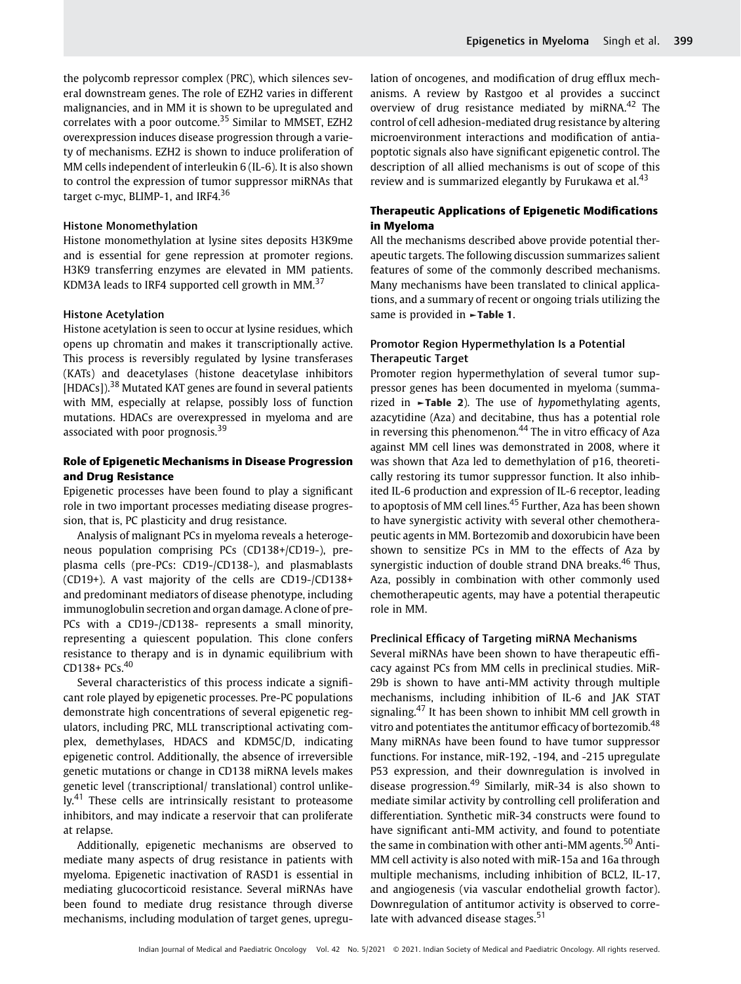the polycomb repressor complex (PRC), which silences several downstream genes. The role of EZH2 varies in different malignancies, and in MM it is shown to be upregulated and correlates with a poor outcome.<sup>35</sup> Similar to MMSET, EZH2 overexpression induces disease progression through a variety of mechanisms. EZH2 is shown to induce proliferation of MM cells independent of interleukin 6 (IL-6). It is also shown to control the expression of tumor suppressor miRNAs that target c-myc, BLIMP-1, and IRF4.<sup>36</sup>

#### Histone Monomethylation

Histone monomethylation at lysine sites deposits H3K9me and is essential for gene repression at promoter regions. H3K9 transferring enzymes are elevated in MM patients. KDM3A leads to IRF4 supported cell growth in MM.<sup>37</sup>

#### Histone Acetylation

Histone acetylation is seen to occur at lysine residues, which opens up chromatin and makes it transcriptionally active. This process is reversibly regulated by lysine transferases (KATs) and deacetylases (histone deacetylase inhibitors [HDACs]).<sup>38</sup> Mutated KAT genes are found in several patients with MM, especially at relapse, possibly loss of function mutations. HDACs are overexpressed in myeloma and are associated with poor prognosis.<sup>39</sup>

# Role of Epigenetic Mechanisms in Disease Progression and Drug Resistance

Epigenetic processes have been found to play a significant role in two important processes mediating disease progression, that is, PC plasticity and drug resistance.

Analysis of malignant PCs in myeloma reveals a heterogeneous population comprising PCs (CD138+/CD19-), preplasma cells (pre-PCs: CD19-/CD138-), and plasmablasts (CD19+). A vast majority of the cells are CD19-/CD138+ and predominant mediators of disease phenotype, including immunoglobulin secretion and organ damage. A clone of pre-PCs with a CD19-/CD138- represents a small minority, representing a quiescent population. This clone confers resistance to therapy and is in dynamic equilibrium with CD138+ PCs.<sup>40</sup>

Several characteristics of this process indicate a significant role played by epigenetic processes. Pre-PC populations demonstrate high concentrations of several epigenetic regulators, including PRC, MLL transcriptional activating complex, demethylases, HDACS and KDM5C/D, indicating epigenetic control. Additionally, the absence of irreversible genetic mutations or change in CD138 miRNA levels makes genetic level (transcriptional/ translational) control unlike- $\mathsf{I} \mathsf{v}$ .<sup>41</sup> These cells are intrinsically resistant to proteasome inhibitors, and may indicate a reservoir that can proliferate at relapse.

Additionally, epigenetic mechanisms are observed to mediate many aspects of drug resistance in patients with myeloma. Epigenetic inactivation of RASD1 is essential in mediating glucocorticoid resistance. Several miRNAs have been found to mediate drug resistance through diverse mechanisms, including modulation of target genes, upregulation of oncogenes, and modification of drug efflux mechanisms. A review by Rastgoo et al provides a succinct overview of drug resistance mediated by miRNA.<sup>42</sup> The control of cell adhesion-mediated drug resistance by altering microenvironment interactions and modification of antiapoptotic signals also have significant epigenetic control. The description of all allied mechanisms is out of scope of this review and is summarized elegantly by Furukawa et al.<sup>43</sup>

# Therapeutic Applications of Epigenetic Modifications in Myeloma

All the mechanisms described above provide potential therapeutic targets. The following discussion summarizes salient features of some of the commonly described mechanisms. Many mechanisms have been translated to clinical applications, and a summary of recent or ongoing trials utilizing the same is provided in **-Table 1.** 

# Promotor Region Hypermethylation Is a Potential Therapeutic Target

Promoter region hypermethylation of several tumor suppressor genes has been documented in myeloma (summarized in  $\blacktriangleright$ Table 2). The use of hypomethylating agents, azacytidine (Aza) and decitabine, thus has a potential role in reversing this phenomenon.<sup>44</sup> The in vitro efficacy of Aza against MM cell lines was demonstrated in 2008, where it was shown that Aza led to demethylation of p16, theoretically restoring its tumor suppressor function. It also inhibited IL-6 production and expression of IL-6 receptor, leading to apoptosis of MM cell lines.<sup>45</sup> Further, Aza has been shown to have synergistic activity with several other chemotherapeutic agents in MM. Bortezomib and doxorubicin have been shown to sensitize PCs in MM to the effects of Aza by synergistic induction of double strand DNA breaks.<sup>46</sup> Thus, Aza, possibly in combination with other commonly used chemotherapeutic agents, may have a potential therapeutic role in MM.

#### Preclinical Efficacy of Targeting miRNA Mechanisms

Several miRNAs have been shown to have therapeutic efficacy against PCs from MM cells in preclinical studies. MiR-29b is shown to have anti-MM activity through multiple mechanisms, including inhibition of IL-6 and JAK STAT signaling.<sup>47</sup> It has been shown to inhibit MM cell growth in vitro and potentiates the antitumor efficacy of bortezomib.<sup>48</sup> Many miRNAs have been found to have tumor suppressor functions. For instance, miR-192, -194, and -215 upregulate P53 expression, and their downregulation is involved in disease progression.<sup>49</sup> Similarly, miR-34 is also shown to mediate similar activity by controlling cell proliferation and differentiation. Synthetic miR-34 constructs were found to have significant anti-MM activity, and found to potentiate the same in combination with other anti-MM agents.<sup>50</sup> Anti-MM cell activity is also noted with miR-15a and 16a through multiple mechanisms, including inhibition of BCL2, IL-17, and angiogenesis (via vascular endothelial growth factor). Downregulation of antitumor activity is observed to correlate with advanced disease stages.<sup>51</sup>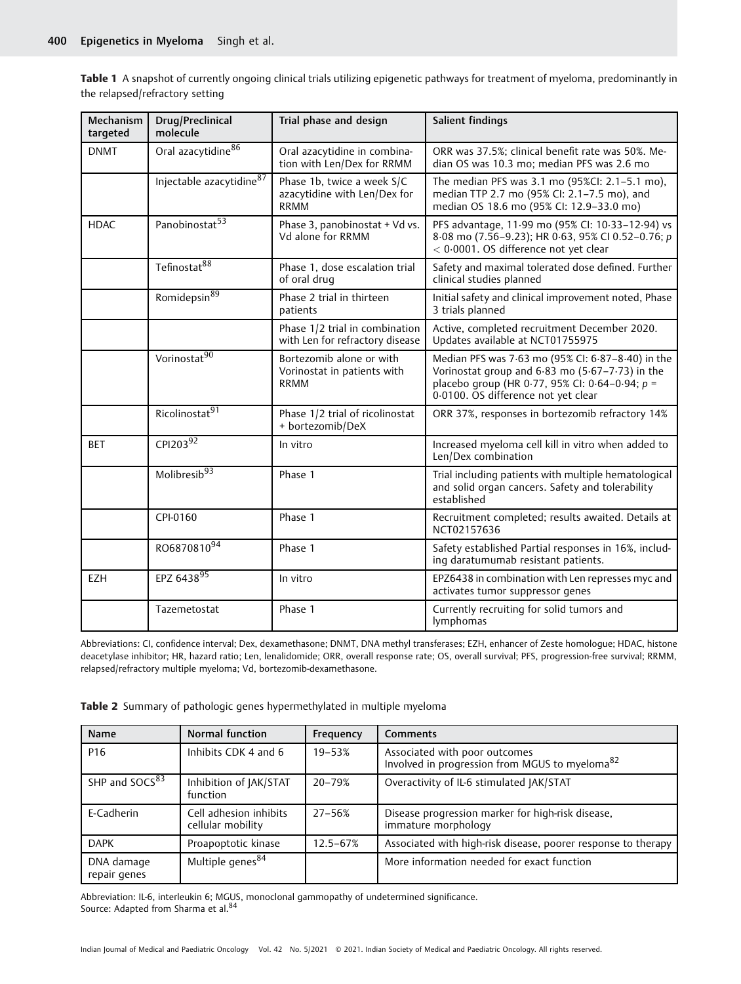Table 1 A snapshot of currently ongoing clinical trials utilizing epigenetic pathways for treatment of myeloma, predominantly in the relapsed/refractory setting

| Mechanism<br>targeted | Drug/Preclinical<br>molecule   | Trial phase and design                                                    | Salient findings                                                                                                                                                                                      |
|-----------------------|--------------------------------|---------------------------------------------------------------------------|-------------------------------------------------------------------------------------------------------------------------------------------------------------------------------------------------------|
| <b>DNMT</b>           | Oral azacytidine <sup>86</sup> | Oral azacytidine in combina-<br>tion with Len/Dex for RRMM                | ORR was 37.5%; clinical benefit rate was 50%. Me-<br>dian OS was 10.3 mo: median PFS was 2.6 mo                                                                                                       |
|                       | Injectable azacytidine87       | Phase 1b, twice a week S/C<br>azacytidine with Len/Dex for<br><b>RRMM</b> | The median PFS was 3.1 mo (95%CI: 2.1-5.1 mo),<br>median TTP 2.7 mo (95% CI: 2.1-7.5 mo), and<br>median OS 18.6 mo (95% CI: 12.9-33.0 mo)                                                             |
| <b>HDAC</b>           | Panobinostat <sup>53</sup>     | Phase 3, panobinostat + Vd vs.<br>Vd alone for RRMM                       | PFS advantage, 11.99 mo (95% CI: 10.33-12.94) vs<br>8.08 mo (7.56-9.23); HR 0.63, 95% CI 0.52-0.76; p<br>< 0.0001. OS difference not yet clear                                                        |
|                       | Tefinostat <sup>88</sup>       | Phase 1, dose escalation trial<br>of oral drug                            | Safety and maximal tolerated dose defined. Further<br>clinical studies planned                                                                                                                        |
|                       | Romidepsin <sup>89</sup>       | Phase 2 trial in thirteen<br>patients                                     | Initial safety and clinical improvement noted, Phase<br>3 trials planned                                                                                                                              |
|                       |                                | Phase 1/2 trial in combination<br>with Len for refractory disease         | Active, completed recruitment December 2020.<br>Updates available at NCT01755975                                                                                                                      |
|                       | Vorinostat <sup>90</sup>       | Bortezomib alone or with<br>Vorinostat in patients with<br><b>RRMM</b>    | Median PFS was 7.63 mo (95% CI: 6.87-8.40) in the<br>Vorinostat group and $6.83$ mo $(5.67 - 7.73)$ in the<br>placebo group (HR 0.77, 95% CI: 0.64-0.94; $p =$<br>0.0100. OS difference not yet clear |
|                       | Ricolinostat <sup>91</sup>     | Phase 1/2 trial of ricolinostat<br>+ bortezomib/DeX                       | ORR 37%, responses in bortezomib refractory 14%                                                                                                                                                       |
| <b>BET</b>            | CPI203 $92$                    | In vitro                                                                  | Increased myeloma cell kill in vitro when added to<br>Len/Dex combination                                                                                                                             |
|                       | Molibresib <sup>93</sup>       | Phase 1                                                                   | Trial including patients with multiple hematological<br>and solid organ cancers. Safety and tolerability<br>established                                                                               |
|                       | CPI-0160                       | Phase 1                                                                   | Recruitment completed; results awaited. Details at<br>NCT02157636                                                                                                                                     |
|                       | RO687081094                    | Phase 1                                                                   | Safety established Partial responses in 16%, includ-<br>ing daratumumab resistant patients.                                                                                                           |
| <b>EZH</b>            | EPZ 643895                     | In vitro                                                                  | EPZ6438 in combination with Len represses myc and<br>activates tumor suppressor genes                                                                                                                 |
|                       | Tazemetostat                   | Phase 1                                                                   | Currently recruiting for solid tumors and<br>lymphomas                                                                                                                                                |

Abbreviations: CI, confidence interval; Dex, dexamethasone; DNMT, DNA methyl transferases; EZH, enhancer of Zeste homologue; HDAC, histone deacetylase inhibitor; HR, hazard ratio; Len, lenalidomide; ORR, overall response rate; OS, overall survival; PFS, progression-free survival; RRMM, relapsed/refractory multiple myeloma; Vd, bortezomib-dexamethasone.

Table 2 Summary of pathologic genes hypermethylated in multiple myeloma

| Name                       | <b>Normal function</b>                      | Frequency  | <b>Comments</b>                                                                             |
|----------------------------|---------------------------------------------|------------|---------------------------------------------------------------------------------------------|
| P <sub>16</sub>            | Inhibits CDK 4 and 6                        | $19 - 53%$ | Associated with poor outcomes<br>Involved in progression from MGUS to myeloma <sup>82</sup> |
| SHP and SOCS <sup>83</sup> | Inhibition of JAK/STAT<br>function          | 20-79%     | Overactivity of IL-6 stimulated JAK/STAT                                                    |
| E-Cadherin                 | Cell adhesion inhibits<br>cellular mobility | 27–56%     | Disease progression marker for high-risk disease,<br>immature morphology                    |
| <b>DAPK</b>                | Proapoptotic kinase                         | 12.5-67%   | Associated with high-risk disease, poorer response to therapy                               |
| DNA damage<br>repair genes | Multiple genes <sup>84</sup>                |            | More information needed for exact function                                                  |

Abbreviation: IL-6, interleukin 6; MGUS, monoclonal gammopathy of undetermined significance. Source: Adapted from Sharma et al.<sup>84</sup>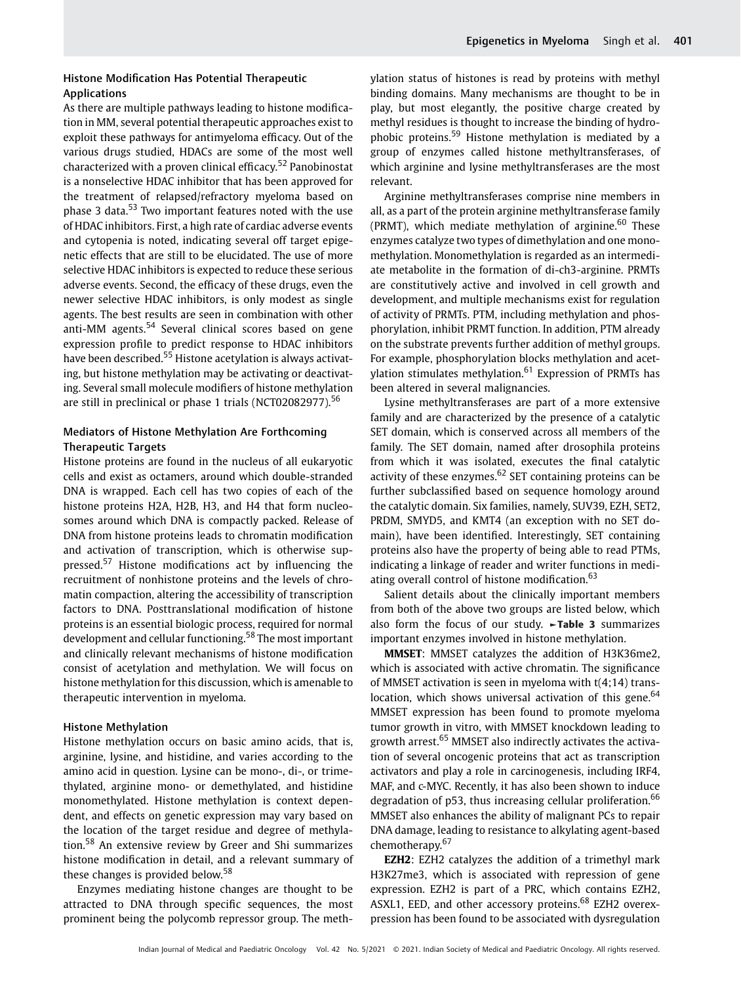As there are multiple pathways leading to histone modification in MM, several potential therapeutic approaches exist to exploit these pathways for antimyeloma efficacy. Out of the various drugs studied, HDACs are some of the most well characterized with a proven clinical efficacy.<sup>52</sup> Panobinostat is a nonselective HDAC inhibitor that has been approved for the treatment of relapsed/refractory myeloma based on phase 3 data.<sup>53</sup> Two important features noted with the use of HDAC inhibitors. First, a high rate of cardiac adverse events and cytopenia is noted, indicating several off target epigenetic effects that are still to be elucidated. The use of more selective HDAC inhibitors is expected to reduce these serious adverse events. Second, the efficacy of these drugs, even the newer selective HDAC inhibitors, is only modest as single agents. The best results are seen in combination with other anti-MM agents.<sup>54</sup> Several clinical scores based on gene expression profile to predict response to HDAC inhibitors have been described.<sup>55</sup> Histone acetylation is always activating, but histone methylation may be activating or deactivating. Several small molecule modifiers of histone methylation are still in preclinical or phase 1 trials (NCT02082977).<sup>56</sup>

# Mediators of Histone Methylation Are Forthcoming Therapeutic Targets

Histone proteins are found in the nucleus of all eukaryotic cells and exist as octamers, around which double-stranded DNA is wrapped. Each cell has two copies of each of the histone proteins H2A, H2B, H3, and H4 that form nucleosomes around which DNA is compactly packed. Release of DNA from histone proteins leads to chromatin modification and activation of transcription, which is otherwise suppressed.<sup>57</sup> Histone modifications act by influencing the recruitment of nonhistone proteins and the levels of chromatin compaction, altering the accessibility of transcription factors to DNA. Posttranslational modification of histone proteins is an essential biologic process, required for normal development and cellular functioning.<sup>58</sup> The most important and clinically relevant mechanisms of histone modification consist of acetylation and methylation. We will focus on histone methylation for this discussion, which is amenable to therapeutic intervention in myeloma.

#### Histone Methylation

Histone methylation occurs on basic amino acids, that is, arginine, lysine, and histidine, and varies according to the amino acid in question. Lysine can be mono-, di-, or trimethylated, arginine mono- or demethylated, and histidine monomethylated. Histone methylation is context dependent, and effects on genetic expression may vary based on the location of the target residue and degree of methylation.<sup>58</sup> An extensive review by Greer and Shi summarizes histone modification in detail, and a relevant summary of these changes is provided below.<sup>58</sup>

Enzymes mediating histone changes are thought to be attracted to DNA through specific sequences, the most prominent being the polycomb repressor group. The methylation status of histones is read by proteins with methyl binding domains. Many mechanisms are thought to be in play, but most elegantly, the positive charge created by methyl residues is thought to increase the binding of hydrophobic proteins.<sup>59</sup> Histone methylation is mediated by a group of enzymes called histone methyltransferases, of which arginine and lysine methyltransferases are the most relevant.

Arginine methyltransferases comprise nine members in all, as a part of the protein arginine methyltransferase family (PRMT), which mediate methylation of arginine. $60$  These enzymes catalyze two types of dimethylation and one monomethylation. Monomethylation is regarded as an intermediate metabolite in the formation of di-ch3-arginine. PRMTs are constitutively active and involved in cell growth and development, and multiple mechanisms exist for regulation of activity of PRMTs. PTM, including methylation and phosphorylation, inhibit PRMT function. In addition, PTM already on the substrate prevents further addition of methyl groups. For example, phosphorylation blocks methylation and acetylation stimulates methylation.<sup>61</sup> Expression of PRMTs has been altered in several malignancies.

Lysine methyltransferases are part of a more extensive family and are characterized by the presence of a catalytic SET domain, which is conserved across all members of the family. The SET domain, named after drosophila proteins from which it was isolated, executes the final catalytic activity of these enzymes. $62$  SET containing proteins can be further subclassified based on sequence homology around the catalytic domain. Six families, namely, SUV39, EZH, SET2, PRDM, SMYD5, and KMT4 (an exception with no SET domain), have been identified. Interestingly, SET containing proteins also have the property of being able to read PTMs, indicating a linkage of reader and writer functions in mediating overall control of histone modification.<sup>63</sup>

Salient details about the clinically important members from both of the above two groups are listed below, which also form the focus of our study. ►Table 3 summarizes important enzymes involved in histone methylation.

MMSET: MMSET catalyzes the addition of H3K36me2, which is associated with active chromatin. The significance of MMSET activation is seen in myeloma with t(4;14) translocation, which shows universal activation of this gene.<sup>64</sup> MMSET expression has been found to promote myeloma tumor growth in vitro, with MMSET knockdown leading to growth arrest.<sup>65</sup> MMSET also indirectly activates the activation of several oncogenic proteins that act as transcription activators and play a role in carcinogenesis, including IRF4, MAF, and c-MYC. Recently, it has also been shown to induce degradation of  $p53$ , thus increasing cellular proliferation.<sup>66</sup> MMSET also enhances the ability of malignant PCs to repair DNA damage, leading to resistance to alkylating agent-based chemotherapy.<sup>67</sup>

EZH2: EZH2 catalyzes the addition of a trimethyl mark H3K27me3, which is associated with repression of gene expression. EZH2 is part of a PRC, which contains EZH2, ASXL1, EED, and other accessory proteins.<sup>68</sup> EZH2 overexpression has been found to be associated with dysregulation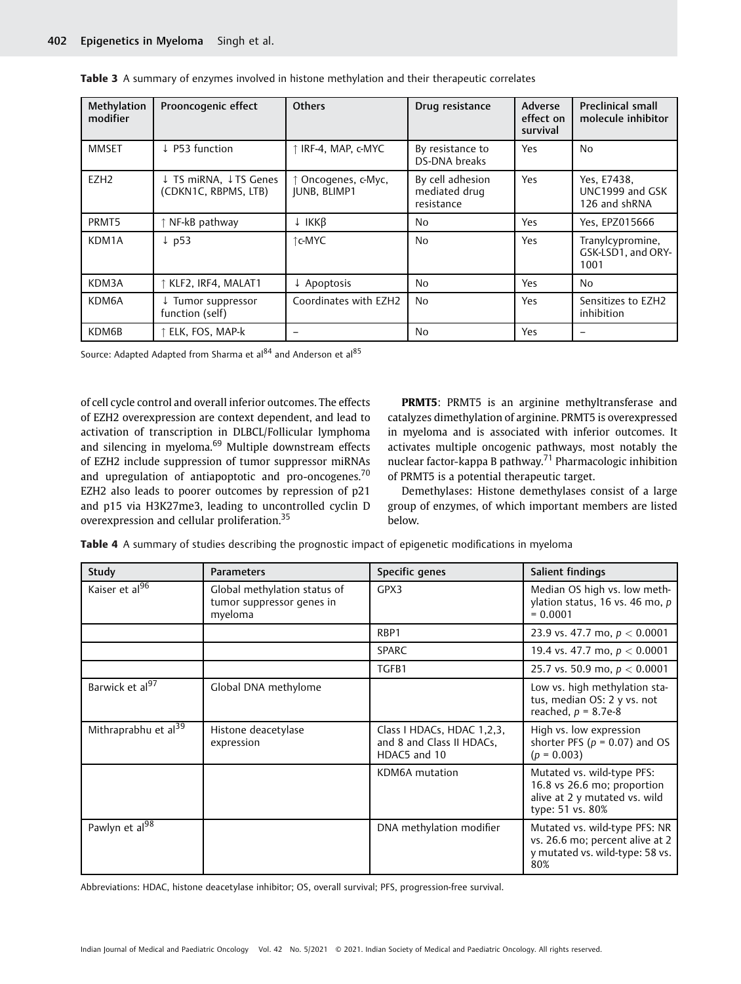| Methylation<br>modifier | Prooncogenic effect                           | <b>Others</b>                     | Drug resistance                                 | Adverse<br>effect on<br>survival | <b>Preclinical small</b><br>molecule inhibitor  |
|-------------------------|-----------------------------------------------|-----------------------------------|-------------------------------------------------|----------------------------------|-------------------------------------------------|
| <b>MMSET</b>            | ↓ P53 function                                | ↑ IRF-4, MAP, c-MYC               | By resistance to<br>DS-DNA breaks               | Yes                              | No                                              |
| EZH <sub>2</sub>        | ↓ TS miRNA, ↓TS Genes<br>(CDKN1C, RBPMS, LTB) | Oncogenes, c-Myc,<br>JUNB, BLIMP1 | By cell adhesion<br>mediated drug<br>resistance | Yes                              | Yes, E7438,<br>UNC1999 and GSK<br>126 and shRNA |
| PRMT5                   | NF-kB pathway                                 | ↓ IKKB                            | <b>No</b>                                       | Yes                              | Yes, EPZ015666                                  |
| KDM1A                   | $\downarrow$ p53                              | ↑c-MYC                            | N <sub>0</sub>                                  | Yes                              | Tranylcypromine,<br>GSK-LSD1, and ORY-<br>1001  |
| KDM3A                   | KLF2, IRF4, MALAT1                            | $\downarrow$ Apoptosis            | <b>No</b>                                       | Yes                              | No                                              |
| KDM6A                   | ↓ Tumor suppressor<br>function (self)         | Coordinates with EZH2             | N <sub>0</sub>                                  | Yes                              | Sensitizes to EZH2<br>inhibition                |
| KDM6B                   | ELK, FOS, MAP-k                               |                                   | <b>No</b>                                       | Yes                              |                                                 |

Source: Adapted Adapted from Sharma et al<sup>84</sup> and Anderson et al<sup>85</sup>

of cell cycle control and overall inferior outcomes. The effects of EZH2 overexpression are context dependent, and lead to activation of transcription in DLBCL/Follicular lymphoma and silencing in myeloma.<sup>69</sup> Multiple downstream effects of EZH2 include suppression of tumor suppressor miRNAs and upregulation of antiapoptotic and pro-oncogenes.<sup>70</sup> EZH2 also leads to poorer outcomes by repression of p21 and p15 via H3K27me3, leading to uncontrolled cyclin D overexpression and cellular proliferation.<sup>35</sup>

PRMT5: PRMT5 is an arginine methyltransferase and catalyzes dimethylation of arginine. PRMT5 is overexpressed in myeloma and is associated with inferior outcomes. It activates multiple oncogenic pathways, most notably the nuclear factor-kappa B pathway.<sup>71</sup> Pharmacologic inhibition of PRMT5 is a potential therapeutic target.

Demethylases: Histone demethylases consist of a large group of enzymes, of which important members are listed below.

Table 4 A summary of studies describing the prognostic impact of epigenetic modifications in myeloma

| Study                            | <b>Parameters</b>                                                    | Specific genes                                                          | Salient findings                                                                                               |
|----------------------------------|----------------------------------------------------------------------|-------------------------------------------------------------------------|----------------------------------------------------------------------------------------------------------------|
| Kaiser et al <sup>96</sup>       | Global methylation status of<br>tumor suppressor genes in<br>myeloma | GPX3                                                                    | Median OS high vs. low meth-<br>ylation status, 16 vs. 46 mo, p<br>$= 0.0001$                                  |
|                                  |                                                                      | RBP1                                                                    | 23.9 vs. 47.7 mo, $p < 0.0001$                                                                                 |
|                                  |                                                                      | <b>SPARC</b>                                                            | 19.4 vs. 47.7 mo, $p < 0.0001$                                                                                 |
|                                  |                                                                      | TGFB1                                                                   | 25.7 vs. 50.9 mo, $p < 0.0001$                                                                                 |
| Barwick et al <sup>97</sup>      | Global DNA methylome                                                 |                                                                         | Low vs. high methylation sta-<br>tus, median OS: 2 y vs. not<br>reached, $p = 8.7e-8$                          |
| Mithraprabhu et al <sup>39</sup> | Histone deacetylase<br>expression                                    | Class I HDACs, HDAC 1,2,3,<br>and 8 and Class II HDACs,<br>HDAC5 and 10 | High vs. low expression<br>shorter PFS ( $p = 0.07$ ) and OS<br>$(p = 0.003)$                                  |
|                                  |                                                                      | KDM6A mutation                                                          | Mutated vs. wild-type PFS:<br>16.8 vs 26.6 mo; proportion<br>alive at 2 y mutated vs. wild<br>type: 51 vs. 80% |
| Pawlyn et al <sup>98</sup>       |                                                                      | DNA methylation modifier                                                | Mutated vs. wild-type PFS: NR<br>vs. 26.6 mo; percent alive at 2<br>y mutated vs. wild-type: 58 vs.<br>80%     |

Abbreviations: HDAC, histone deacetylase inhibitor; OS, overall survival; PFS, progression-free survival.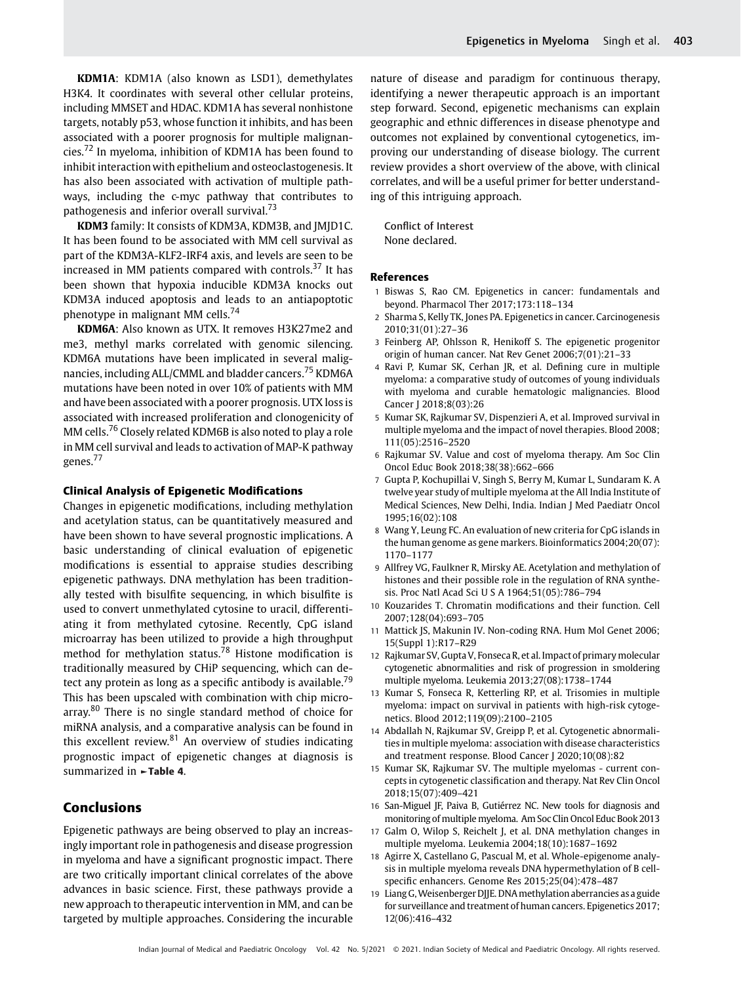KDM1A: KDM1A (also known as LSD1), demethylates H3K4. It coordinates with several other cellular proteins, including MMSET and HDAC. KDM1A has several nonhistone targets, notably p53, whose function it inhibits, and has been associated with a poorer prognosis for multiple malignancies.<sup>72</sup> In myeloma, inhibition of KDM1A has been found to inhibit interaction with epithelium and osteoclastogenesis. It has also been associated with activation of multiple pathways, including the c-myc pathway that contributes to pathogenesis and inferior overall survival.<sup>73</sup>

KDM3 family: It consists of KDM3A, KDM3B, and JMJD1C. It has been found to be associated with MM cell survival as part of the KDM3A-KLF2-IRF4 axis, and levels are seen to be increased in MM patients compared with controls. $37$  It has been shown that hypoxia inducible KDM3A knocks out KDM3A induced apoptosis and leads to an antiapoptotic phenotype in malignant MM cells.<sup>74</sup>

KDM6A: Also known as UTX. It removes H3K27me2 and me3, methyl marks correlated with genomic silencing. KDM6A mutations have been implicated in several malignancies, including ALL/CMML and bladder cancers.<sup>75</sup> KDM6A mutations have been noted in over 10% of patients with MM and have been associated with a poorer prognosis. UTX loss is associated with increased proliferation and clonogenicity of MM cells.<sup>76</sup> Closely related KDM6B is also noted to play a role in MM cell survival and leads to activation of MAP-K pathway genes.<sup>77</sup>

#### Clinical Analysis of Epigenetic Modifications

Changes in epigenetic modifications, including methylation and acetylation status, can be quantitatively measured and have been shown to have several prognostic implications. A basic understanding of clinical evaluation of epigenetic modifications is essential to appraise studies describing epigenetic pathways. DNA methylation has been traditionally tested with bisulfite sequencing, in which bisulfite is used to convert unmethylated cytosine to uracil, differentiating it from methylated cytosine. Recently, CpG island microarray has been utilized to provide a high throughput method for methylation status.<sup>78</sup> Histone modification is traditionally measured by CHiP sequencing, which can detect any protein as long as a specific antibody is available.<sup>79</sup> This has been upscaled with combination with chip microarray.<sup>80</sup> There is no single standard method of choice for miRNA analysis, and a comparative analysis can be found in this excellent review. $81$  An overview of studies indicating prognostic impact of epigenetic changes at diagnosis is summarized in ►Table 4.

# Conclusions

Epigenetic pathways are being observed to play an increasingly important role in pathogenesis and disease progression in myeloma and have a significant prognostic impact. There are two critically important clinical correlates of the above advances in basic science. First, these pathways provide a new approach to therapeutic intervention in MM, and can be targeted by multiple approaches. Considering the incurable nature of disease and paradigm for continuous therapy, identifying a newer therapeutic approach is an important step forward. Second, epigenetic mechanisms can explain geographic and ethnic differences in disease phenotype and outcomes not explained by conventional cytogenetics, improving our understanding of disease biology. The current review provides a short overview of the above, with clinical correlates, and will be a useful primer for better understanding of this intriguing approach.

Conflict of Interest None declared.

#### References

- 1 Biswas S, Rao CM. Epigenetics in cancer: fundamentals and beyond. Pharmacol Ther 2017;173:118–134
- 2 Sharma S, Kelly TK, Jones PA. Epigenetics in cancer. Carcinogenesis 2010;31(01):27–36
- 3 Feinberg AP, Ohlsson R, Henikoff S. The epigenetic progenitor origin of human cancer. Nat Rev Genet 2006;7(01):21–33
- 4 Ravi P, Kumar SK, Cerhan JR, et al. Defining cure in multiple myeloma: a comparative study of outcomes of young individuals with myeloma and curable hematologic malignancies. Blood Cancer J 2018;8(03):26
- 5 Kumar SK, Rajkumar SV, Dispenzieri A, et al. Improved survival in multiple myeloma and the impact of novel therapies. Blood 2008; 111(05):2516–2520
- 6 Rajkumar SV. Value and cost of myeloma therapy. Am Soc Clin Oncol Educ Book 2018;38(38):662–666
- 7 Gupta P, Kochupillai V, Singh S, Berry M, Kumar L, Sundaram K. A twelve year study of multiple myeloma at the All India Institute of Medical Sciences, New Delhi, India. Indian J Med Paediatr Oncol 1995;16(02):108
- 8 Wang Y, Leung FC. An evaluation of new criteria for CpG islands in the human genome as gene markers. Bioinformatics 2004;20(07): 1170–1177
- 9 Allfrey VG, Faulkner R, Mirsky AE. Acetylation and methylation of histones and their possible role in the regulation of RNA synthesis. Proc Natl Acad Sci U S A 1964;51(05):786–794
- 10 Kouzarides T. Chromatin modifications and their function. Cell 2007;128(04):693–705
- Mattick JS, Makunin IV. Non-coding RNA. Hum Mol Genet 2006; 15(Suppl 1):R17–R29
- 12 Rajkumar SV, Gupta V, Fonseca R, et al. Impact of primary molecular cytogenetic abnormalities and risk of progression in smoldering multiple myeloma. Leukemia 2013;27(08):1738–1744
- 13 Kumar S, Fonseca R, Ketterling RP, et al. Trisomies in multiple myeloma: impact on survival in patients with high-risk cytogenetics. Blood 2012;119(09):2100–2105
- 14 Abdallah N, Rajkumar SV, Greipp P, et al. Cytogenetic abnormalities in multiple myeloma: association with disease characteristics and treatment response. Blood Cancer J 2020;10(08):82
- 15 Kumar SK, Rajkumar SV. The multiple myelomas current concepts in cytogenetic classification and therapy. Nat Rev Clin Oncol 2018;15(07):409–421
- 16 San-Miguel JF, Paiva B, Gutiérrez NC. New tools for diagnosis and monitoring of multiple myeloma. Am Soc Clin Oncol Educ Book 2013
- 17 Galm O, Wilop S, Reichelt J, et al. DNA methylation changes in multiple myeloma. Leukemia 2004;18(10):1687–1692
- 18 Agirre X, Castellano G, Pascual M, et al. Whole-epigenome analysis in multiple myeloma reveals DNA hypermethylation of B cellspecific enhancers. Genome Res 2015;25(04):478–487
- 19 Liang G,Weisenberger DJJE. DNAmethylation aberrancies as a guide for surveillance and treatment of human cancers. Epigenetics 2017; 12(06):416–432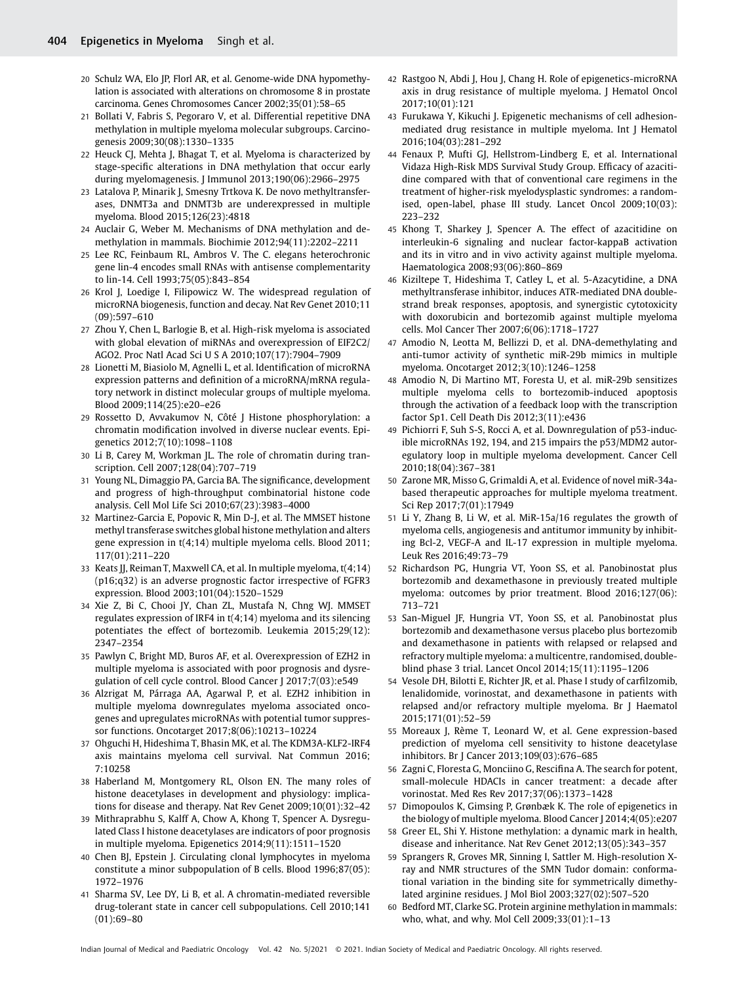- 20 Schulz WA, Elo JP, Florl AR, et al. Genome-wide DNA hypomethylation is associated with alterations on chromosome 8 in prostate carcinoma. Genes Chromosomes Cancer 2002;35(01):58–65
- 21 Bollati V, Fabris S, Pegoraro V, et al. Differential repetitive DNA methylation in multiple myeloma molecular subgroups. Carcinogenesis 2009;30(08):1330–1335
- 22 Heuck CJ, Mehta J, Bhagat T, et al. Myeloma is characterized by stage-specific alterations in DNA methylation that occur early during myelomagenesis. J Immunol 2013;190(06):2966–2975
- 23 Latalova P, Minarik J, Smesny Trtkova K. De novo methyltransferases, DNMT3a and DNMT3b are underexpressed in multiple myeloma. Blood 2015;126(23):4818
- 24 Auclair G, Weber M. Mechanisms of DNA methylation and demethylation in mammals. Biochimie 2012;94(11):2202–2211
- 25 Lee RC, Feinbaum RL, Ambros V. The C. elegans heterochronic gene lin-4 encodes small RNAs with antisense complementarity to lin-14. Cell 1993;75(05):843–854
- 26 Krol J, Loedige I, Filipowicz W. The widespread regulation of microRNA biogenesis, function and decay. Nat Rev Genet 2010;11 (09):597–610
- 27 Zhou Y, Chen L, Barlogie B, et al. High-risk myeloma is associated with global elevation of miRNAs and overexpression of EIF2C2/ AGO2. Proc Natl Acad Sci U S A 2010;107(17):7904–7909
- 28 Lionetti M, Biasiolo M, Agnelli L, et al. Identification of microRNA expression patterns and definition of a microRNA/mRNA regulatory network in distinct molecular groups of multiple myeloma. Blood 2009;114(25):e20–e26
- 29 Rossetto D, Avvakumov N, Côté J Histone phosphorylation: a chromatin modification involved in diverse nuclear events. Epigenetics 2012;7(10):1098–1108
- 30 Li B, Carey M, Workman JL. The role of chromatin during transcription. Cell 2007;128(04):707–719
- 31 Young NL, Dimaggio PA, Garcia BA. The significance, development and progress of high-throughput combinatorial histone code analysis. Cell Mol Life Sci 2010;67(23):3983–4000
- 32 Martinez-Garcia E, Popovic R, Min D-J, et al. The MMSET histone methyl transferase switches global histone methylation and alters gene expression in t(4;14) multiple myeloma cells. Blood 2011; 117(01):211–220
- 33 Keats JJ, Reiman T, Maxwell CA, et al. In multiple myeloma, t(4;14) (p16;q32) is an adverse prognostic factor irrespective of FGFR3 expression. Blood 2003;101(04):1520–1529
- 34 Xie Z, Bi C, Chooi JY, Chan ZL, Mustafa N, Chng WJ. MMSET regulates expression of IRF4 in t(4;14) myeloma and its silencing potentiates the effect of bortezomib. Leukemia 2015;29(12): 2347–2354
- 35 Pawlyn C, Bright MD, Buros AF, et al. Overexpression of EZH2 in multiple myeloma is associated with poor prognosis and dysregulation of cell cycle control. Blood Cancer J 2017;7(03):e549
- 36 Alzrigat M, Párraga AA, Agarwal P, et al. EZH2 inhibition in multiple myeloma downregulates myeloma associated oncogenes and upregulates microRNAs with potential tumor suppressor functions. Oncotarget 2017;8(06):10213–10224
- 37 Ohguchi H, Hideshima T, Bhasin MK, et al. The KDM3A-KLF2-IRF4 axis maintains myeloma cell survival. Nat Commun 2016; 7:10258
- 38 Haberland M, Montgomery RL, Olson EN. The many roles of histone deacetylases in development and physiology: implications for disease and therapy. Nat Rev Genet 2009;10(01):32–42
- 39 Mithraprabhu S, Kalff A, Chow A, Khong T, Spencer A. Dysregulated Class I histone deacetylases are indicators of poor prognosis in multiple myeloma. Epigenetics 2014;9(11):1511–1520
- 40 Chen BJ, Epstein J. Circulating clonal lymphocytes in myeloma constitute a minor subpopulation of B cells. Blood 1996;87(05): 1972–1976
- 41 Sharma SV, Lee DY, Li B, et al. A chromatin-mediated reversible drug-tolerant state in cancer cell subpopulations. Cell 2010;141 (01):69–80
- 42 Rastgoo N, Abdi J, Hou J, Chang H. Role of epigenetics-microRNA axis in drug resistance of multiple myeloma. J Hematol Oncol 2017;10(01):121
- 43 Furukawa Y, Kikuchi J. Epigenetic mechanisms of cell adhesionmediated drug resistance in multiple myeloma. Int J Hematol 2016;104(03):281–292
- 44 Fenaux P, Mufti GJ, Hellstrom-Lindberg E, et al. International Vidaza High-Risk MDS Survival Study Group. Efficacy of azacitidine compared with that of conventional care regimens in the treatment of higher-risk myelodysplastic syndromes: a randomised, open-label, phase III study. Lancet Oncol 2009;10(03): 223–232
- 45 Khong T, Sharkey J, Spencer A. The effect of azacitidine on interleukin-6 signaling and nuclear factor-kappaB activation and its in vitro and in vivo activity against multiple myeloma. Haematologica 2008;93(06):860–869
- 46 Kiziltepe T, Hideshima T, Catley L, et al. 5-Azacytidine, a DNA methyltransferase inhibitor, induces ATR-mediated DNA doublestrand break responses, apoptosis, and synergistic cytotoxicity with doxorubicin and bortezomib against multiple myeloma cells. Mol Cancer Ther 2007;6(06):1718–1727
- 47 Amodio N, Leotta M, Bellizzi D, et al. DNA-demethylating and anti-tumor activity of synthetic miR-29b mimics in multiple myeloma. Oncotarget 2012;3(10):1246–1258
- 48 Amodio N, Di Martino MT, Foresta U, et al. miR-29b sensitizes multiple myeloma cells to bortezomib-induced apoptosis through the activation of a feedback loop with the transcription factor Sp1. Cell Death Dis 2012;3(11):e436
- 49 Pichiorri F, Suh S-S, Rocci A, et al. Downregulation of p53-inducible microRNAs 192, 194, and 215 impairs the p53/MDM2 autoregulatory loop in multiple myeloma development. Cancer Cell 2010;18(04):367–381
- 50 Zarone MR, Misso G, Grimaldi A, et al. Evidence of novel miR-34abased therapeutic approaches for multiple myeloma treatment. Sci Rep 2017;7(01):17949
- 51 Li Y, Zhang B, Li W, et al. MiR-15a/16 regulates the growth of myeloma cells, angiogenesis and antitumor immunity by inhibiting Bcl-2, VEGF-A and IL-17 expression in multiple myeloma. Leuk Res 2016;49:73–79
- 52 Richardson PG, Hungria VT, Yoon SS, et al. Panobinostat plus bortezomib and dexamethasone in previously treated multiple myeloma: outcomes by prior treatment. Blood 2016;127(06): 713–721
- 53 San-Miguel JF, Hungria VT, Yoon SS, et al. Panobinostat plus bortezomib and dexamethasone versus placebo plus bortezomib and dexamethasone in patients with relapsed or relapsed and refractory multiple myeloma: a multicentre, randomised, doubleblind phase 3 trial. Lancet Oncol 2014;15(11):1195–1206
- 54 Vesole DH, Bilotti E, Richter JR, et al. Phase I study of carfilzomib, lenalidomide, vorinostat, and dexamethasone in patients with relapsed and/or refractory multiple myeloma. Br J Haematol 2015;171(01):52–59
- 55 Moreaux J, Rème T, Leonard W, et al. Gene expression-based prediction of myeloma cell sensitivity to histone deacetylase inhibitors. Br J Cancer 2013;109(03):676–685
- 56 Zagni C, Floresta G, Monciino G, Rescifina A. The search for potent, small-molecule HDACIs in cancer treatment: a decade after vorinostat. Med Res Rev 2017;37(06):1373–1428
- 57 Dimopoulos K, Gimsing P, Grønbæk K. The role of epigenetics in the biology of multiple myeloma. Blood Cancer J 2014;4(05):e207
- 58 Greer EL, Shi Y. Histone methylation: a dynamic mark in health, disease and inheritance. Nat Rev Genet 2012;13(05):343–357
- 59 Sprangers R, Groves MR, Sinning I, Sattler M. High-resolution Xray and NMR structures of the SMN Tudor domain: conformational variation in the binding site for symmetrically dimethylated arginine residues. J Mol Biol 2003;327(02):507–520
- 60 Bedford MT, Clarke SG. Protein arginine methylation in mammals: who, what, and why. Mol Cell 2009;33(01):1–13